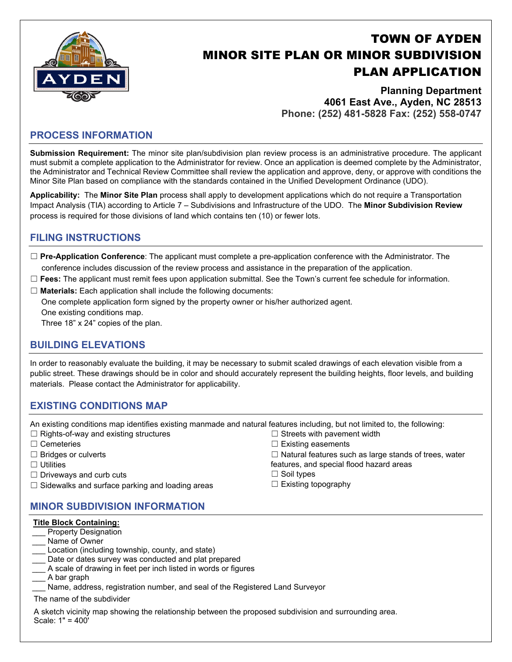

# TOWN OF AYDEN MINOR SITE PLAN OR MINOR SUBDIVISION PLAN APPLICATION

**Planning Department 4061 East Ave., Ayden, NC 28513 Phone: (252) 481-5828 Fax: (252) 558-0747**

#### **PROCESS INFORMATION**

**Submission Requirement:** The minor site plan/subdivision plan review process is an administrative procedure. The applicant must submit a complete application to the Administrator for review. Once an application is deemed complete by the Administrator, the Administrator and Technical Review Committee shall review the application and approve, deny, or approve with conditions the Minor Site Plan based on compliance with the standards contained in the Unified Development Ordinance (UDO).

**Applicability:** The **Minor Site Plan** process shall apply to development applications which do not require a Transportation Impact Analysis (TIA) according to Article 7 – Subdivisions and Infrastructure of the UDO. The **Minor Subdivision Review** process is required for those divisions of land which contains ten (10) or fewer lots.

### **FILING INSTRUCTIONS**

- ☐ **Pre-Application Conference**: The applicant must complete a pre-application conference with the Administrator. The conference includes discussion of the review process and assistance in the preparation of the application.
- ☐ **Fees:** The applicant must remit fees upon application submittal. See the Town's current fee schedule for information.
- ☐ **Materials:** Each application shall include the following documents:

One complete application form signed by the property owner or his/her authorized agent. One existing conditions map.

Three 18" x 24" copies of the plan.

### **BUILDING ELEVATIONS**

In order to reasonably evaluate the building, it may be necessary to submit scaled drawings of each elevation visible from a public street. These drawings should be in color and should accurately represent the building heights, floor levels, and building materials. Please contact the Administrator for applicability.

### **EXISTING CONDITIONS MAP**

An existing conditions map identifies existing manmade and natural features including, but not limited to, the following:

- ☐ Rights-of-way and existing structures
- ☐ Cemeteries
- ☐ Bridges or culverts
- ☐ Utilities
- $\Box$  Driveways and curb cuts
- $\Box$  Sidewalks and surface parking and loading areas

### **MINOR SUBDIVISION INFORMATION**

#### **Title Block Containing:**

- Property Designation
- Name of Owner
- Location (including township, county, and state)
- Date or dates survey was conducted and plat prepared
- A scale of drawing in feet per inch listed in words or figures
- \_\_\_ A bar graph
- Name, address, registration number, and seal of the Registered Land Surveyor

The name of the subdivider

A sketch vicinity map showing the relationship between the proposed subdivision and surrounding area. Scale: 1" = 400'

- $\Box$  Streets with pavement width
- $\Box$  Existing easements

☐ Natural features such as large stands of trees, water

- features, and special flood hazard areas
- ☐ Soil types
- $\Box$  Existing topography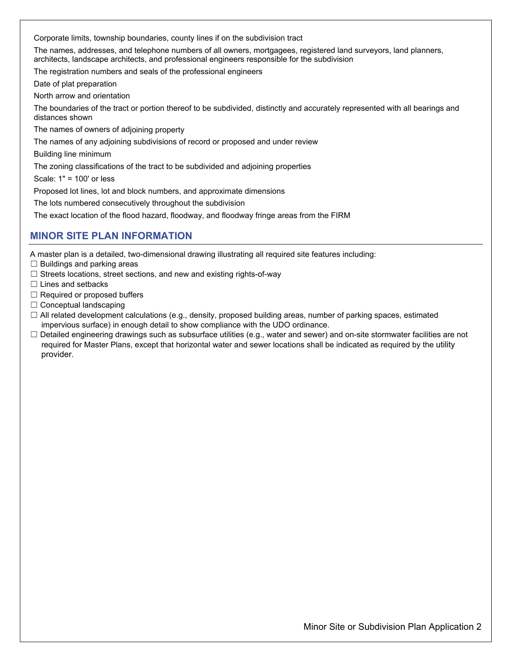Corporate limits, township boundaries, county lines if on the subdivision tract

The names, addresses, and telephone numbers of all owners, mortgagees, registered land surveyors, land planners, architects, landscape architects, and professional engineers responsible for the subdivision

The registration numbers and seals of the professional engineers

Date of plat preparation

North arrow and orientation

The boundaries of the tract or portion thereof to be subdivided, distinctly and accurately represented with all bearings and distances shown

The names of owners of adjoining property

The names of any adjoining subdivisions of record or proposed and under review

Building line minimum

The zoning classifications of the tract to be subdivided and adjoining properties

Scale: 1" = 100' or less

Proposed lot lines, lot and block numbers, and approximate dimensions

The lots numbered consecutively throughout the subdivision

The exact location of the flood hazard, floodway, and floodway fringe areas from the FIRM

#### **MINOR SITE PLAN INFORMATION**

A master plan is a detailed, two-dimensional drawing illustrating all required site features including:

- $\Box$  Buildings and parking areas
- □ Streets locations, street sections, and new and existing rights-of-way
- ☐ Lines and setbacks
- $\Box$  Required or proposed buffers
- $\Box$  Conceptual landscaping
- $\Box$  All related development calculations (e.g., density, proposed building areas, number of parking spaces, estimated impervious surface) in enough detail to show compliance with the UDO ordinance.
- ☐ Detailed engineering drawings such as subsurface utilities (e.g., water and sewer) and on-site stormwater facilities are not required for Master Plans, except that horizontal water and sewer locations shall be indicated as required by the utility provider.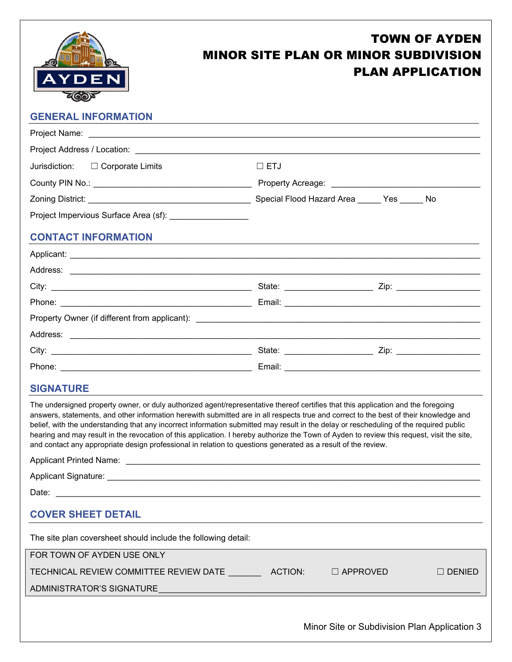

# TOWN OF AYDEN MINOR SITE PLAN OR MINOR SUBDIVISION PLAN APPLICATION

# **GENERAL INFORMATION**  Project Name: Project Address / Location: Jurisdiction: □ Corporate Limits □ □ ETJ County PIN No.: \_\_\_\_\_\_\_\_\_\_\_\_\_\_\_\_\_\_\_\_\_\_\_\_\_\_\_\_\_\_\_\_\_\_ Property Acreage: \_\_\_\_\_\_\_\_\_\_\_\_\_\_\_\_\_\_\_\_\_\_\_\_\_\_\_\_\_\_\_\_ Zoning District: \_\_\_\_\_\_\_\_\_\_\_\_\_\_\_\_\_\_\_\_\_\_\_\_\_\_\_\_\_\_\_\_\_\_\_ Special Flood Hazard Area \_\_\_\_\_ Yes \_\_\_\_\_ No Project Impervious Surface Area (sf): **CONTACT INFORMATION**  Applicant: \_\_\_\_\_\_\_\_\_\_\_\_\_\_\_\_\_\_\_\_\_\_\_\_\_\_\_\_\_\_\_\_\_\_\_\_\_\_\_\_\_\_\_\_\_\_\_\_\_\_\_\_\_\_\_\_\_\_\_\_\_\_\_\_\_\_\_\_\_\_\_\_\_\_\_\_\_\_\_\_\_\_\_\_\_\_\_\_ Address: \_\_\_\_\_\_\_\_\_\_\_\_\_\_\_\_\_\_\_\_\_\_\_\_\_\_\_\_\_\_\_\_\_\_\_\_\_\_\_\_\_\_\_\_\_\_\_\_\_\_\_\_\_\_\_\_\_\_\_\_\_\_\_\_\_\_\_\_\_\_\_\_\_\_\_\_\_\_\_\_\_\_\_\_\_\_\_\_ City: \_\_\_\_\_\_\_\_\_\_\_\_\_\_\_\_\_\_\_\_\_\_\_\_\_\_\_\_\_\_\_\_\_\_\_\_\_\_\_\_\_\_\_ State: \_\_\_\_\_\_\_\_\_\_\_\_\_\_\_\_\_\_\_ Zip: \_\_\_\_\_\_\_\_\_\_\_\_\_\_\_\_\_\_ Phone: \_\_\_\_\_\_\_\_\_\_\_\_\_\_\_\_\_\_\_\_\_\_\_\_\_\_\_\_\_\_\_\_\_\_\_\_\_\_\_\_\_ Email: \_\_\_\_\_\_\_\_\_\_\_\_\_\_\_\_\_\_\_\_\_\_\_\_\_\_\_\_\_\_\_\_\_\_\_\_\_\_\_\_\_\_ Property Owner (if different from applicant): Address: \_\_\_\_\_\_\_\_\_\_\_\_\_\_\_\_\_\_\_\_\_\_\_\_\_\_\_\_\_\_\_\_\_\_\_\_\_\_\_\_\_\_\_\_\_\_\_\_\_\_\_\_\_\_\_\_\_\_\_\_\_\_\_\_\_\_\_\_\_\_\_\_\_\_\_\_\_\_\_\_\_\_\_\_\_\_\_\_ City: \_\_\_\_\_\_\_\_\_\_\_\_\_\_\_\_\_\_\_\_\_\_\_\_\_\_\_\_\_\_\_\_\_\_\_\_\_\_\_\_\_\_\_ State: \_\_\_\_\_\_\_\_\_\_\_\_\_\_\_\_\_\_\_ Zip: \_\_\_\_\_\_\_\_\_\_\_\_\_\_\_\_\_\_ Phone: \_\_\_\_\_\_\_\_\_\_\_\_\_\_\_\_\_\_\_\_\_\_\_\_\_\_\_\_\_\_\_\_\_\_\_\_\_\_\_\_\_ Email: \_\_\_\_\_\_\_\_\_\_\_\_\_\_\_\_\_\_\_\_\_\_\_\_\_\_\_\_\_\_\_\_\_\_\_\_\_\_\_\_\_\_ **SIGNATURE**  The undersigned property owner, or duly authorized agent/representative thereof certifies that this application and the foregoing answers, statements, and other information herewith submitted are in all respects true and correct to the best of their knowledge and belief, with the understanding that any incorrect information submitted may result in the delay or rescheduling of the required public hearing and may result in the revocation of this application. I hereby authorize the Town of Ayden to review this request, visit the site, and contact any appropriate design professional in relation to questions generated as a result of the review. Applicant Printed Name: **Alternative According to According the According According to According the According According to According the According of According to According the According of According to According the Acco** Applicant Signature:  $\blacksquare$ Date:  $\Box$ **COVER SHEET DETAIL** The site plan coversheet should include the following detail: FOR TOWN OF AYDEN USE ONLY TECHNICAL REVIEW COMMITTEE REVIEW DATE ACTION: □ APPROVED □ DENIED ADMINISTRATOR'S SIGNATURE

Minor Site or Subdivision Plan Application 3